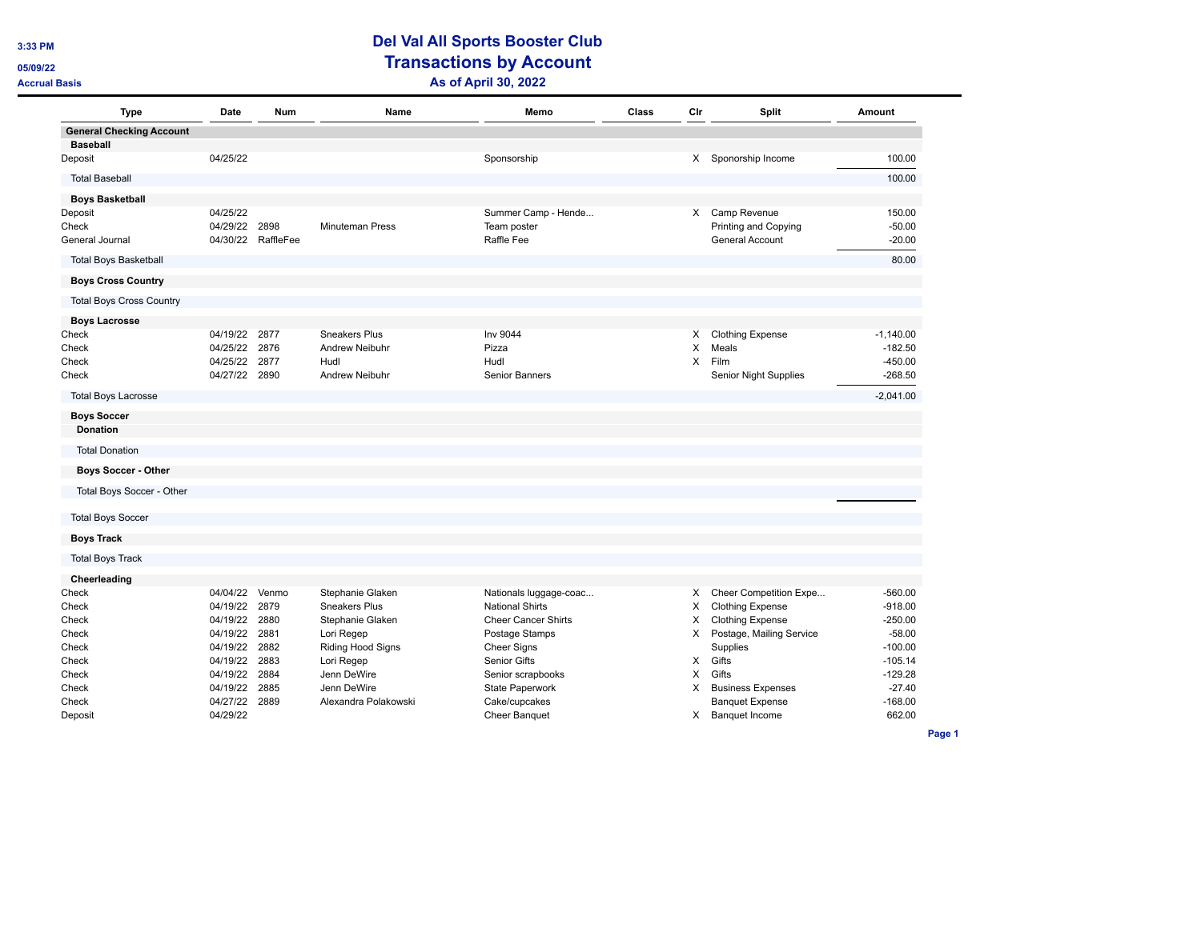## **3:33 PM Del Val All Sports Booster Club CE/OS/09/22 CE/OS/09/22 Transactions by Account Accrual Basis As of April 30, 2022**

| <b>Type</b>                                        | Date     | <b>Num</b> | Name                   | Memo                       | Class | Cir      | Split                    | Amount      |
|----------------------------------------------------|----------|------------|------------------------|----------------------------|-------|----------|--------------------------|-------------|
| <b>General Checking Account</b><br><b>Baseball</b> |          |            |                        |                            |       |          |                          |             |
| Deposit                                            | 04/25/22 |            |                        | Sponsorship                |       |          | X Sponorship Income      | 100.00      |
| <b>Total Baseball</b>                              |          |            |                        |                            |       |          |                          | 100.00      |
| <b>Boys Basketball</b>                             |          |            |                        |                            |       |          |                          |             |
| Deposit                                            | 04/25/22 |            |                        | Summer Camp - Hende        |       |          | X Camp Revenue           | 150.00      |
| Check                                              | 04/29/22 | 2898       | <b>Minuteman Press</b> | Team poster                |       |          | Printing and Copying     | $-50.00$    |
| General Journal                                    | 04/30/22 | RaffleFee  |                        | Raffle Fee                 |       |          | General Account          | $-20.00$    |
| <b>Total Boys Basketball</b>                       |          |            |                        |                            |       |          |                          | 80.00       |
| <b>Boys Cross Country</b>                          |          |            |                        |                            |       |          |                          |             |
| <b>Total Boys Cross Country</b>                    |          |            |                        |                            |       |          |                          |             |
| <b>Boys Lacrosse</b>                               |          |            |                        |                            |       |          |                          |             |
| Check                                              | 04/19/22 | 2877       | Sneakers Plus          | Inv 9044                   |       | X.       | <b>Clothing Expense</b>  | $-1,140.00$ |
| Check                                              | 04/25/22 | 2876       | <b>Andrew Neibuhr</b>  | Pizza                      |       | X        | Meals                    | $-182.50$   |
| Check                                              | 04/25/22 | 2877       | Hudl                   | Hudl                       |       | $\times$ | Film                     | $-450.00$   |
| Check                                              | 04/27/22 | 2890       | Andrew Neibuhr         | Senior Banners             |       |          | Senior Night Supplies    | $-268.50$   |
| <b>Total Boys Lacrosse</b>                         |          |            |                        |                            |       |          |                          | $-2,041.00$ |
| <b>Boys Soccer</b><br><b>Donation</b>              |          |            |                        |                            |       |          |                          |             |
| <b>Total Donation</b>                              |          |            |                        |                            |       |          |                          |             |
| <b>Boys Soccer - Other</b>                         |          |            |                        |                            |       |          |                          |             |
| Total Boys Soccer - Other                          |          |            |                        |                            |       |          |                          |             |
| <b>Total Boys Soccer</b>                           |          |            |                        |                            |       |          |                          |             |
| <b>Boys Track</b>                                  |          |            |                        |                            |       |          |                          |             |
| <b>Total Boys Track</b>                            |          |            |                        |                            |       |          |                          |             |
| Cheerleading                                       |          |            |                        |                            |       |          |                          |             |
| Check                                              | 04/04/22 | Venmo      | Stephanie Glaken       | Nationals luggage-coac     |       | X        | Cheer Competition Expe   | $-560.00$   |
| Check                                              | 04/19/22 | 2879       | <b>Sneakers Plus</b>   | <b>National Shirts</b>     |       | х        | <b>Clothing Expense</b>  | $-918.00$   |
| Check                                              | 04/19/22 | 2880       | Stephanie Glaken       | <b>Cheer Cancer Shirts</b> |       | Х        | <b>Clothing Expense</b>  | $-250.00$   |
| Check                                              | 04/19/22 | 2881       | Lori Regep             | Postage Stamps             |       | X        | Postage, Mailing Service | $-58.00$    |
| Check                                              | 04/19/22 | 2882       | Riding Hood Signs      | <b>Cheer Signs</b>         |       |          | Supplies                 | $-100.00$   |
| Check                                              | 04/19/22 | 2883       | Lori Regep             | Senior Gifts               |       | X        | Gifts                    | $-105.14$   |
| Check                                              | 04/19/22 | 2884       | Jenn DeWire            | Senior scrapbooks          |       | X        | Gifts                    | $-129.28$   |
| Check                                              | 04/19/22 | 2885       | Jenn DeWire            | State Paperwork            |       | X        | <b>Business Expenses</b> | $-27.40$    |
| Check                                              | 04/27/22 | 2889       | Alexandra Polakowski   | Cake/cupcakes              |       |          | <b>Banquet Expense</b>   | $-168.00$   |
| Deposit                                            | 04/29/22 |            |                        | <b>Cheer Banquet</b>       |       | X        | <b>Banquet Income</b>    | 662.00      |

**Page 1**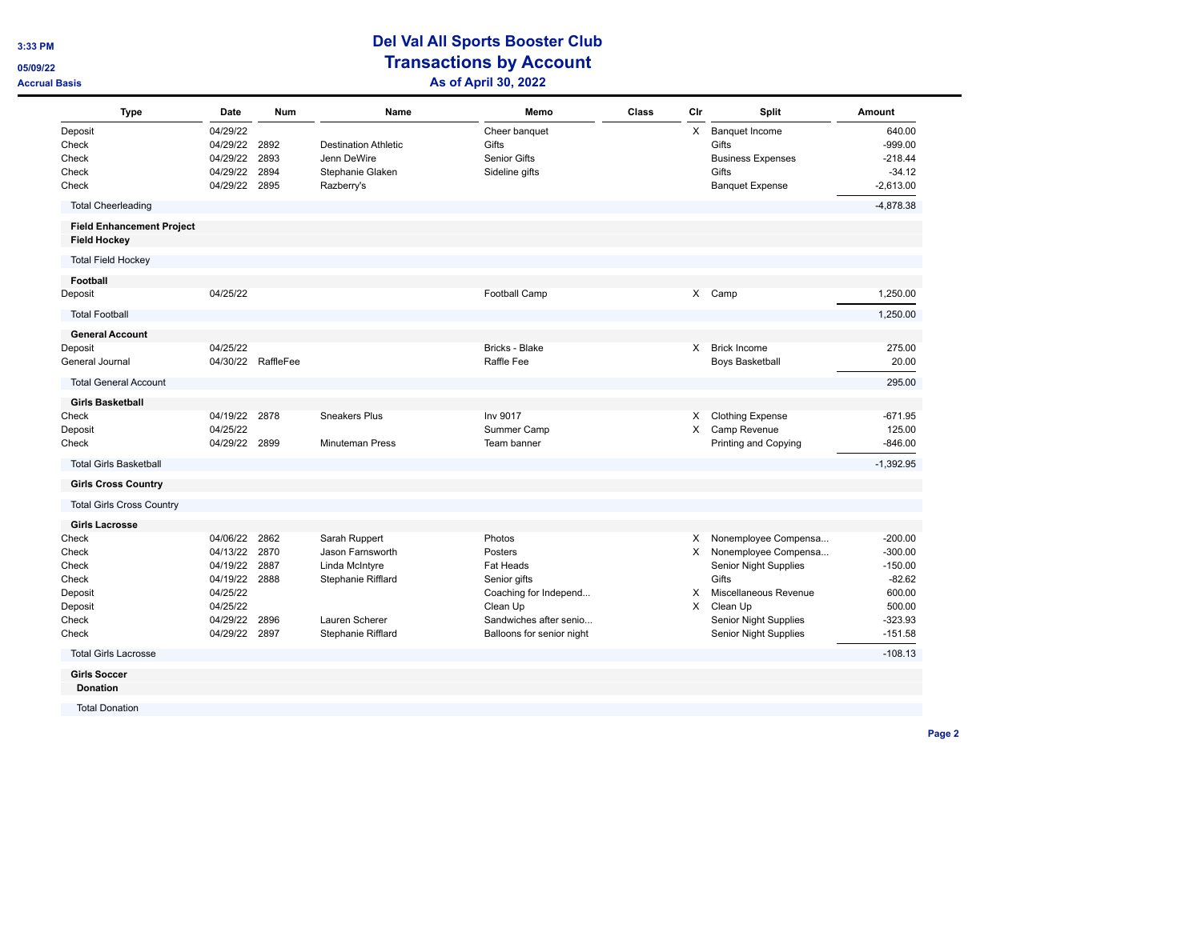## **3:33 PM Del Val All Sports Booster Club CE/OS/09/22 CE/OS/09/22 Transactions by Account Accrual Basis As of April 30, 2022**

| <b>Type</b>                                             | Date                                                     | <b>Num</b>                   | Name                                                                         | Memo                                                     | Class | Cir      | Split                                                                                         | Amount                                                      |
|---------------------------------------------------------|----------------------------------------------------------|------------------------------|------------------------------------------------------------------------------|----------------------------------------------------------|-------|----------|-----------------------------------------------------------------------------------------------|-------------------------------------------------------------|
| Deposit<br>Check<br>Check<br>Check<br>Check             | 04/29/22<br>04/29/22<br>04/29/22<br>04/29/22<br>04/29/22 | 2892<br>2893<br>2894<br>2895 | <b>Destination Athletic</b><br>Jenn DeWire<br>Stephanie Glaken<br>Razberry's | Cheer banquet<br>Gifts<br>Senior Gifts<br>Sideline gifts |       | X        | <b>Banquet Income</b><br>Gifts<br><b>Business Expenses</b><br>Gifts<br><b>Banquet Expense</b> | 640.00<br>$-999.00$<br>$-218.44$<br>$-34.12$<br>$-2,613.00$ |
| <b>Total Cheerleading</b>                               |                                                          |                              |                                                                              |                                                          |       |          |                                                                                               | $-4.878.38$                                                 |
| <b>Field Enhancement Project</b><br><b>Field Hockey</b> |                                                          |                              |                                                                              |                                                          |       |          |                                                                                               |                                                             |
| <b>Total Field Hockey</b>                               |                                                          |                              |                                                                              |                                                          |       |          |                                                                                               |                                                             |
| Football                                                |                                                          |                              |                                                                              |                                                          |       |          |                                                                                               |                                                             |
| Deposit                                                 | 04/25/22                                                 |                              |                                                                              | Football Camp                                            |       | X.       | Camp                                                                                          | 1,250.00                                                    |
| <b>Total Football</b>                                   |                                                          |                              |                                                                              |                                                          |       |          |                                                                                               | 1,250.00                                                    |
| <b>General Account</b>                                  |                                                          |                              |                                                                              |                                                          |       |          |                                                                                               |                                                             |
| Deposit                                                 | 04/25/22                                                 |                              |                                                                              | Bricks - Blake                                           |       | $\times$ | <b>Brick Income</b>                                                                           | 275.00                                                      |
| General Journal                                         |                                                          | 04/30/22 RaffleFee           |                                                                              | Raffle Fee                                               |       |          | <b>Boys Basketball</b>                                                                        | 20.00                                                       |
| <b>Total General Account</b>                            |                                                          |                              |                                                                              |                                                          |       |          |                                                                                               | 295.00                                                      |
| <b>Girls Basketball</b>                                 |                                                          |                              |                                                                              |                                                          |       |          |                                                                                               |                                                             |
| Check                                                   | 04/19/22 2878                                            |                              | <b>Sneakers Plus</b>                                                         | Inv 9017                                                 |       | X.       | <b>Clothing Expense</b>                                                                       | $-671.95$                                                   |
| Deposit                                                 | 04/25/22                                                 |                              |                                                                              | Summer Camp                                              |       | X        | Camp Revenue                                                                                  | 125.00                                                      |
| Check                                                   | 04/29/22 2899                                            |                              | <b>Minuteman Press</b>                                                       | Team banner                                              |       |          | Printing and Copying                                                                          | $-846.00$                                                   |
| <b>Total Girls Basketball</b>                           |                                                          |                              |                                                                              |                                                          |       |          |                                                                                               | $-1,392.95$                                                 |
| <b>Girls Cross Country</b>                              |                                                          |                              |                                                                              |                                                          |       |          |                                                                                               |                                                             |
| <b>Total Girls Cross Country</b>                        |                                                          |                              |                                                                              |                                                          |       |          |                                                                                               |                                                             |
| <b>Girls Lacrosse</b>                                   |                                                          |                              |                                                                              |                                                          |       |          |                                                                                               |                                                             |
| Check                                                   | 04/06/22                                                 | 2862                         | Sarah Ruppert                                                                | Photos                                                   |       | X.       | Nonemployee Compensa                                                                          | $-200.00$                                                   |
| Check                                                   | 04/13/22                                                 | 2870                         | Jason Farnsworth                                                             | Posters                                                  |       | X        | Nonemployee Compensa                                                                          | $-300.00$                                                   |
| Check                                                   | 04/19/22                                                 | 2887                         | Linda McIntyre                                                               | <b>Fat Heads</b>                                         |       |          | <b>Senior Night Supplies</b>                                                                  | $-150.00$                                                   |
| Check                                                   | 04/19/22 2888                                            |                              | Stephanie Rifflard                                                           | Senior gifts                                             |       |          | Gifts                                                                                         | $-82.62$                                                    |
| Deposit                                                 | 04/25/22                                                 |                              |                                                                              | Coaching for Independ                                    |       | X        | Miscellaneous Revenue                                                                         | 600.00                                                      |
| Deposit                                                 | 04/25/22                                                 |                              |                                                                              | Clean Up                                                 |       | X        | Clean Up                                                                                      | 500.00                                                      |
| Check                                                   | 04/29/22                                                 | 2896                         | Lauren Scherer                                                               | Sandwiches after senio                                   |       |          | <b>Senior Night Supplies</b>                                                                  | $-323.93$                                                   |
| Check                                                   | 04/29/22                                                 | 2897                         | Stephanie Rifflard                                                           | Balloons for senior night                                |       |          | Senior Night Supplies                                                                         | $-151.58$                                                   |
| <b>Total Girls Lacrosse</b>                             |                                                          |                              |                                                                              |                                                          |       |          |                                                                                               | $-108.13$                                                   |
| <b>Girls Soccer</b>                                     |                                                          |                              |                                                                              |                                                          |       |          |                                                                                               |                                                             |
| <b>Donation</b>                                         |                                                          |                              |                                                                              |                                                          |       |          |                                                                                               |                                                             |

**Page 2**